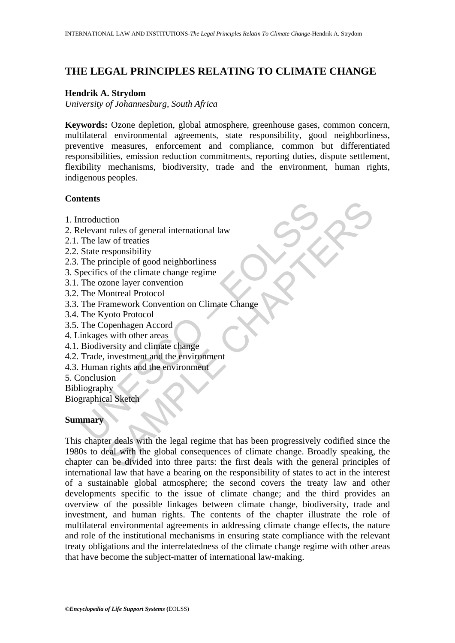# **THE LEGAL PRINCIPLES RELATING TO CLIMATE CHANGE**

#### **Hendrik A. Strydom**

*University of Johannesburg, South Africa* 

**Keywords:** Ozone depletion, global atmosphere, greenhouse gases, common concern, multilateral environmental agreements, state responsibility, good neighborliness, preventive measures, enforcement and compliance, common but differentiated responsibilities, emission reduction commitments, reporting duties, dispute settlement, flexibility mechanisms, biodiversity, trade and the environment, human rights, indigenous peoples.

## **Contents**

- 1. Introduction
- 2. Relevant rules of general international law
- 2.1. The law of treaties
- 2.2. State responsibility
- 2.3. The principle of good neighborliness
- 3. Specifics of the climate change regime
- 3.1. The ozone layer convention
- 3.2. The Montreal Protocol
- throughout<br>
altrass<br>
altroduction<br>
elevant rules of general international law<br>
The law of treaties<br>
State responsibility<br>
State responsibility<br>
The principle of good neighborliness<br>
The Core layer convention<br>
The Montreal 3.3. The Framework Convention on Climate Change
- 3.4. The Kyoto Protocol
- 3.5. The Copenhagen Accord
- 4. Linkages with other areas
- 4.1. Biodiversity and climate change
- 4.2. Trade, investment and the environment
- 4.3. Human rights and the environment
- 5. Conclusion
- **Bibliography**

Biographical Sketch

## **Summary**

tion<br>
trules of general international law<br>
wo of treaties<br>
esponsibility<br>
inciple of good neighborliness<br>
sof the climate change regime<br>
conte layer convention<br>
onteral Protocol<br>
amework Convention on Climate Change<br>
inves This chapter deals with the legal regime that has been progressively codified since the 1980s to deal with the global consequences of climate change. Broadly speaking, the chapter can be divided into three parts: the first deals with the general principles of international law that have a bearing on the responsibility of states to act in the interest of a sustainable global atmosphere; the second covers the treaty law and other developments specific to the issue of climate change; and the third provides an overview of the possible linkages between climate change, biodiversity, trade and investment, and human rights. The contents of the chapter illustrate the role of multilateral environmental agreements in addressing climate change effects, the nature and role of the institutional mechanisms in ensuring state compliance with the relevant treaty obligations and the interrelatedness of the climate change regime with other areas that have become the subject-matter of international law-making.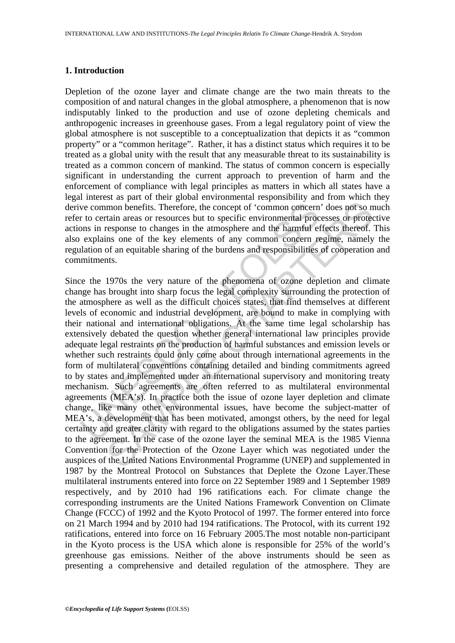#### **1. Introduction**

Depletion of the ozone layer and climate change are the two main threats to the composition of and natural changes in the global atmosphere, a phenomenon that is now indisputably linked to the production and use of ozone depleting chemicals and anthropogenic increases in greenhouse gases. From a legal regulatory point of view the global atmosphere is not susceptible to a conceptualization that depicts it as "common property" or a "common heritage". Rather, it has a distinct status which requires it to be treated as a global unity with the result that any measurable threat to its sustainability is treated as a common concern of mankind. The status of common concern is especially significant in understanding the current approach to prevention of harm and the enforcement of compliance with legal principles as matters in which all states have a legal interest as part of their global environmental responsibility and from which they derive common benefits. Therefore, the concept of 'common concern' does not so much refer to certain areas or resources but to specific environmental processes or protective actions in response to changes in the atmosphere and the harmful effects thereof. This also explains one of the key elements of any common concern regime, namely the regulation of an equitable sharing of the burdens and responsibilities of cooperation and commitments.

ve common benefits. Therefore, the concept of 'common concern<br>r to certain areas or resources but to specific environmental proc<br>ons in response to changes in the atmosphere and the harmful el<br>explains one of the key eleme mon benefits. Therefore, the concept of 'common concern' does not so ntain areas or resources but to specific environmental processes to protect search and the name prefere and the harmful effects thereof.<br>In some of chapt Since the 1970s the very nature of the phenomena of ozone depletion and climate change has brought into sharp focus the legal complexity surrounding the protection of the atmosphere as well as the difficult choices states, that find themselves at different levels of economic and industrial development, are bound to make in complying with their national and international obligations. At the same time legal scholarship has extensively debated the question whether general international law principles provide adequate legal restraints on the production of harmful substances and emission levels or whether such restraints could only come about through international agreements in the form of multilateral conventions containing detailed and binding commitments agreed to by states and implemented under an international supervisory and monitoring treaty mechanism. Such agreements are often referred to as multilateral environmental agreements (MEA's). In practice both the issue of ozone layer depletion and climate change, like many other environmental issues, have become the subject-matter of MEA's, a development that has been motivated, amongst others, by the need for legal certainty and greater clarity with regard to the obligations assumed by the states parties to the agreement. In the case of the ozone layer the seminal MEA is the 1985 Vienna Convention for the Protection of the Ozone Layer which was negotiated under the auspices of the United Nations Environmental Programme (UNEP) and supplemented in 1987 by the Montreal Protocol on Substances that Deplete the Ozone Layer.These multilateral instruments entered into force on 22 September 1989 and 1 September 1989 respectively, and by 2010 had 196 ratifications each. For climate change the corresponding instruments are the United Nations Framework Convention on Climate Change (FCCC) of 1992 and the Kyoto Protocol of 1997. The former entered into force on 21 March 1994 and by 2010 had 194 ratifications. The Protocol, with its current 192 ratifications, entered into force on 16 February 2005.The most notable non-participant in the Kyoto process is the USA which alone is responsible for 25% of the world's greenhouse gas emissions. Neither of the above instruments should be seen as presenting a comprehensive and detailed regulation of the atmosphere. They are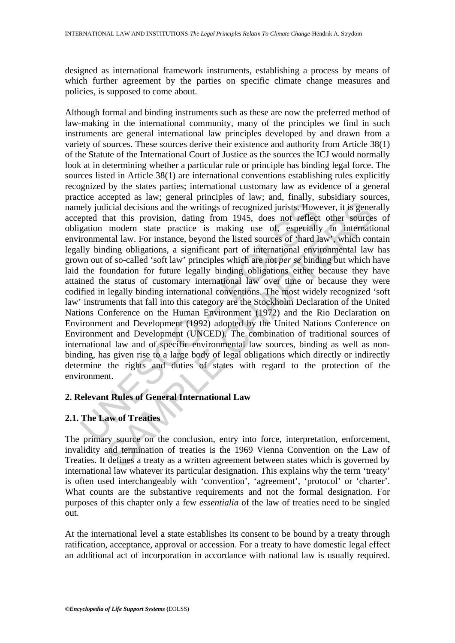designed as international framework instruments, establishing a process by means of which further agreement by the parties on specific climate change measures and policies, is supposed to come about.

nely judicial decisions and the writings of recognized jurists. However the this provision, dating from 1945, does not reflect gation modern state practice is making use of, especially forminantal law. For instance, beyond icial decisions and the writings of recognized jurists. However, it is generated that this provision, dating from 1945, does not reflect other sources modern state practice is making use of, especially in international law Although formal and binding instruments such as these are now the preferred method of law-making in the international community, many of the principles we find in such instruments are general international law principles developed by and drawn from a variety of sources. These sources derive their existence and authority from Article 38(1) of the Statute of the International Court of Justice as the sources the ICJ would normally look at in determining whether a particular rule or principle has binding legal force. The sources listed in Article 38(1) are international conventions establishing rules explicitly recognized by the states parties; international customary law as evidence of a general practice accepted as law; general principles of law; and, finally, subsidiary sources, namely judicial decisions and the writings of recognized jurists. However, it is generally accepted that this provision, dating from 1945, does not reflect other sources of obligation modern state practice is making use of, especially in international environmental law. For instance, beyond the listed sources of 'hard law', which contain legally binding obligations, a significant part of international environmental law has grown out of so-called 'soft law' principles which are not *per se* binding but which have laid the foundation for future legally binding obligations either because they have attained the status of customary international law over time or because they were codified in legally binding international conventions. The most widely recognized 'soft law' instruments that fall into this category are the Stockholm Declaration of the United Nations Conference on the Human Environment (1972) and the Rio Declaration on Environment and Development (1992) adopted by the United Nations Conference on Environment and Development (UNCED). The combination of traditional sources of international law and of specific environmental law sources, binding as well as nonbinding, has given rise to a large body of legal obligations which directly or indirectly determine the rights and duties of states with regard to the protection of the environment.

## **2. Relevant Rules of General International Law**

# **2.1. The Law of Treaties**

The primary source on the conclusion, entry into force, interpretation, enforcement, invalidity and termination of treaties is the 1969 Vienna Convention on the Law of Treaties. It defines a treaty as a written agreement between states which is governed by international law whatever its particular designation. This explains why the term 'treaty' is often used interchangeably with 'convention', 'agreement', 'protocol' or 'charter'. What counts are the substantive requirements and not the formal designation. For purposes of this chapter only a few *essentialia* of the law of treaties need to be singled out.

At the international level a state establishes its consent to be bound by a treaty through ratification, acceptance, approval or accession. For a treaty to have domestic legal effect an additional act of incorporation in accordance with national law is usually required.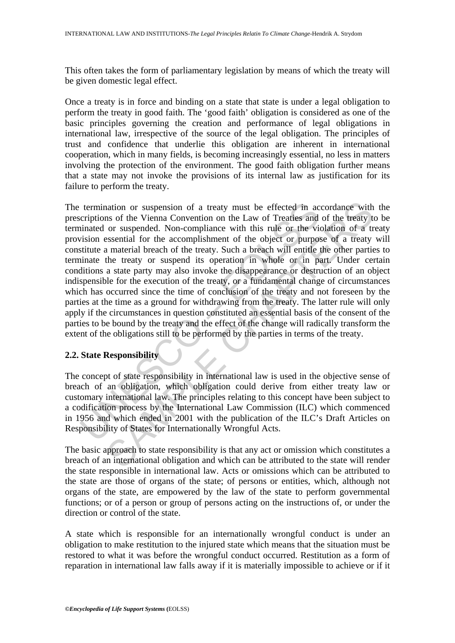This often takes the form of parliamentary legislation by means of which the treaty will be given domestic legal effect.

Once a treaty is in force and binding on a state that state is under a legal obligation to perform the treaty in good faith. The 'good faith' obligation is considered as one of the basic principles governing the creation and performance of legal obligations in international law, irrespective of the source of the legal obligation. The principles of trust and confidence that underlie this obligation are inherent in international cooperation, which in many fields, is becoming increasingly essential, no less in matters involving the protection of the environment. The good faith obligation further means that a state may not invoke the provisions of its internal law as justification for its failure to perform the treaty.

termination or suspension of a treaty must be effected in accriptions of the Vienna Convention on the Law of Treaties and iniated or suspended. Non-compliance with this rule or the vision essential for the accomplishment o nation or suspension of a treaty must be effected in accordance with<br>ns of the Vienna Convention on the Law of Treaties and of the treaty to<br>r suspended. Non-compliance with this nule or the violation of a trus<br>or suspende The termination or suspension of a treaty must be effected in accordance with the prescriptions of the Vienna Convention on the Law of Treaties and of the treaty to be terminated or suspended. Non-compliance with this rule or the violation of a treaty provision essential for the accomplishment of the object or purpose of a treaty will constitute a material breach of the treaty. Such a breach will entitle the other parties to terminate the treaty or suspend its operation in whole or in part. Under certain conditions a state party may also invoke the disappearance or destruction of an object indispensible for the execution of the treaty, or a fundamental change of circumstances which has occurred since the time of conclusion of the treaty and not foreseen by the parties at the time as a ground for withdrawing from the treaty. The latter rule will only apply if the circumstances in question constituted an essential basis of the consent of the parties to be bound by the treaty and the effect of the change will radically transform the extent of the obligations still to be performed by the parties in terms of the treaty.

# **2.2. State Responsibility**

The concept of state responsibility in international law is used in the objective sense of breach of an obligation, which obligation could derive from either treaty law or customary international law. The principles relating to this concept have been subject to a codification process by the International Law Commission (ILC) which commenced in 1956 and which ended in 2001 with the publication of the ILC's Draft Articles on Responsibility of States for Internationally Wrongful Acts.

The basic approach to state responsibility is that any act or omission which constitutes a breach of an international obligation and which can be attributed to the state will render the state responsible in international law. Acts or omissions which can be attributed to the state are those of organs of the state; of persons or entities, which, although not organs of the state, are empowered by the law of the state to perform governmental functions; or of a person or group of persons acting on the instructions of, or under the direction or control of the state.

A state which is responsible for an internationally wrongful conduct is under an obligation to make restitution to the injured state which means that the situation must be restored to what it was before the wrongful conduct occurred. Restitution as a form of reparation in international law falls away if it is materially impossible to achieve or if it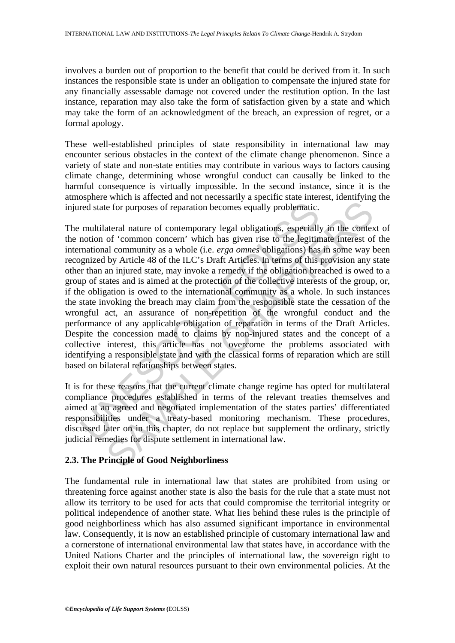involves a burden out of proportion to the benefit that could be derived from it. In such instances the responsible state is under an obligation to compensate the injured state for any financially assessable damage not covered under the restitution option. In the last instance, reparation may also take the form of satisfaction given by a state and which may take the form of an acknowledgment of the breach, an expression of regret, or a formal apology.

These well-established principles of state responsibility in international law may encounter serious obstacles in the context of the climate change phenomenon. Since a variety of state and non-state entities may contribute in various ways to factors causing climate change, determining whose wrongful conduct can causally be linked to the harmful consequence is virtually impossible. In the second instance, since it is the atmosphere which is affected and not necessarily a specific state interest, identifying the injured state for purposes of reparation becomes equally problematic.

red state for purposes of reparation becomes equally problematic.<br>
multilateral nature of contemporary legal obligations, especially<br>
motion of 'common concern' which has given rise to the legitin<br>
mrational community as a is effortable and the content of the relationships between states. The procedure of content of contemporary legal obligations, especially in the contest of 'common concern' which has given rise to the legitimate interest o The multilateral nature of contemporary legal obligations, especially in the context of the notion of 'common concern' which has given rise to the legitimate interest of the international community as a whole (i.e. *erga omnes* obligations) has in some way been recognized by Article 48 of the ILC's Draft Articles. In terms of this provision any state other than an injured state, may invoke a remedy if the obligation breached is owed to a group of states and is aimed at the protection of the collective interests of the group, or, if the obligation is owed to the international community as a whole. In such instances the state invoking the breach may claim from the responsible state the cessation of the wrongful act, an assurance of non-repetition of the wrongful conduct and the performance of any applicable obligation of reparation in terms of the Draft Articles. Despite the concession made to claims by non-injured states and the concept of a collective interest, this article has not overcome the problems associated with identifying a responsible state and with the classical forms of reparation which are still based on bilateral relationships between states.

It is for these reasons that the current climate change regime has opted for multilateral compliance procedures established in terms of the relevant treaties themselves and aimed at an agreed and negotiated implementation of the states parties' differentiated responsibilities under a treaty-based monitoring mechanism. These procedures, discussed later on in this chapter, do not replace but supplement the ordinary, strictly judicial remedies for dispute settlement in international law.

## **2.3. The Principle of Good Neighborliness**

The fundamental rule in international law that states are prohibited from using or threatening force against another state is also the basis for the rule that a state must not allow its territory to be used for acts that could compromise the territorial integrity or political independence of another state. What lies behind these rules is the principle of good neighborliness which has also assumed significant importance in environmental law. Consequently, it is now an established principle of customary international law and a cornerstone of international environmental law that states have, in accordance with the United Nations Charter and the principles of international law, the sovereign right to exploit their own natural resources pursuant to their own environmental policies. At the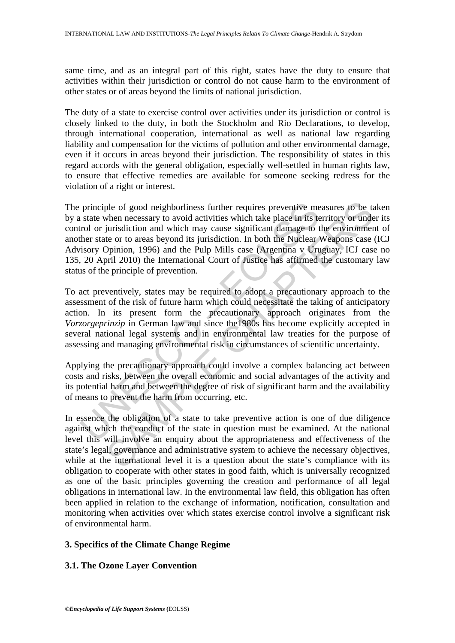same time, and as an integral part of this right, states have the duty to ensure that activities within their jurisdiction or control do not cause harm to the environment of other states or of areas beyond the limits of national jurisdiction.

The duty of a state to exercise control over activities under its jurisdiction or control is closely linked to the duty, in both the Stockholm and Rio Declarations, to develop, through international cooperation, international as well as national law regarding liability and compensation for the victims of pollution and other environmental damage, even if it occurs in areas beyond their jurisdiction. The responsibility of states in this regard accords with the general obligation, especially well-settled in human rights law, to ensure that effective remedies are available for someone seeking redress for the violation of a right or interest.

principle of good neighborliness further requires preventive me<br>state when necessary to avoid activities which take place in its te<br>rol or jurisdiction and which may cause significant damage to t<br>her state or to areas beyo ple of good neighborliness further requires preventive measures to be twhen necessary to avoid activities which take place in its territory or under the place to the environment damage to the environment term or areas beyo The principle of good neighborliness further requires preventive measures to be taken by a state when necessary to avoid activities which take place in its territory or under its control or jurisdiction and which may cause significant damage to the environment of another state or to areas beyond its jurisdiction. In both the Nuclear Weapons case (ICJ Advisory Opinion, 1996) and the Pulp Mills case (Argentina v Uruguay, ICJ case no 135, 20 April 2010) the International Court of Justice has affirmed the customary law status of the principle of prevention.

To act preventively, states may be required to adopt a precautionary approach to the assessment of the risk of future harm which could necessitate the taking of anticipatory action. In its present form the precautionary approach originates from the *Vorzorgeprinzip* in German law and since the1980s has become explicitly accepted in several national legal systems and in environmental law treaties for the purpose of assessing and managing environmental risk in circumstances of scientific uncertainty.

Applying the precautionary approach could involve a complex balancing act between costs and risks, between the overall economic and social advantages of the activity and its potential harm and between the degree of risk of significant harm and the availability of means to prevent the harm from occurring, etc.

In essence the obligation of a state to take preventive action is one of due diligence against which the conduct of the state in question must be examined. At the national level this will involve an enquiry about the appropriateness and effectiveness of the state's legal, governance and administrative system to achieve the necessary objectives, while at the international level it is a question about the state's compliance with its obligation to cooperate with other states in good faith, which is universally recognized as one of the basic principles governing the creation and performance of all legal obligations in international law. In the environmental law field, this obligation has often been applied in relation to the exchange of information, notification, consultation and monitoring when activities over which states exercise control involve a significant risk of environmental harm.

# **3. Specifics of the Climate Change Regime**

## **3.1. The Ozone Layer Convention**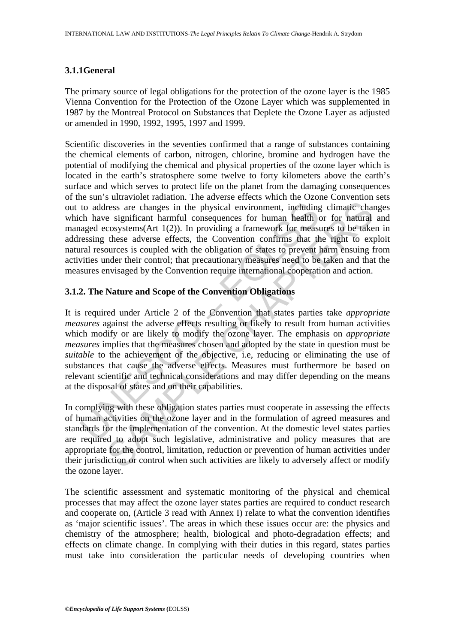#### **3.1.1General**

The primary source of legal obligations for the protection of the ozone layer is the 1985 Vienna Convention for the Protection of the Ozone Layer which was supplemented in 1987 by the Montreal Protocol on Substances that Deplete the Ozone Layer as adjusted or amended in 1990, 1992, 1995, 1997 and 1999.

Scientific discoveries in the seventies confirmed that a range of substances containing the chemical elements of carbon, nitrogen, chlorine, bromine and hydrogen have the potential of modifying the chemical and physical properties of the ozone layer which is located in the earth's stratosphere some twelve to forty kilometers above the earth's surface and which serves to protect life on the planet from the damaging consequences of the sun's ultraviolet radiation. The adverse effects which the Ozone Convention sets out to address are changes in the physical environment, including climatic changes which have significant harmful consequences for human health or for natural and managed ecosystems(Art 1(2)). In providing a framework for measures to be taken in addressing these adverse effects, the Convention confirms that the right to exploit natural resources is coupled with the obligation of states to prevent harm ensuing from activities under their control; that precautionary measures need to be taken and that the measures envisaged by the Convention require international cooperation and action.

## **3.1.2. The Nature and Scope of the Convention Obligations**

to address are changes in the physical environment, including<br>ch have significant harmful consequences for human health (anged ecosystems(Art  $1(2)$ ). In providing a framework for measures<br>ressing these adverse effects, t ress are changes in the physical environment, including climatic changes ress are changes in the physical environment, including climatic changes eigenficant harmful consequences for human health or for natural cosystems(A It is required under Article 2 of the Convention that states parties take *appropriate measures* against the adverse effects resulting or likely to result from human activities which modify or are likely to modify the ozone layer. The emphasis on *appropriate measures* implies that the measures chosen and adopted by the state in question must be *suitable* to the achievement of the objective, i.e, reducing or eliminating the use of substances that cause the adverse effects. Measures must furthermore be based on relevant scientific and technical considerations and may differ depending on the means at the disposal of states and on their capabilities.

In complying with these obligation states parties must cooperate in assessing the effects of human activities on the ozone layer and in the formulation of agreed measures and standards for the implementation of the convention. At the domestic level states parties are required to adopt such legislative, administrative and policy measures that are appropriate for the control, limitation, reduction or prevention of human activities under their jurisdiction or control when such activities are likely to adversely affect or modify the ozone layer.

The scientific assessment and systematic monitoring of the physical and chemical processes that may affect the ozone layer states parties are required to conduct research and cooperate on, (Article 3 read with Annex I) relate to what the convention identifies as 'major scientific issues'. The areas in which these issues occur are: the physics and chemistry of the atmosphere; health, biological and photo-degradation effects; and effects on climate change. In complying with their duties in this regard, states parties must take into consideration the particular needs of developing countries when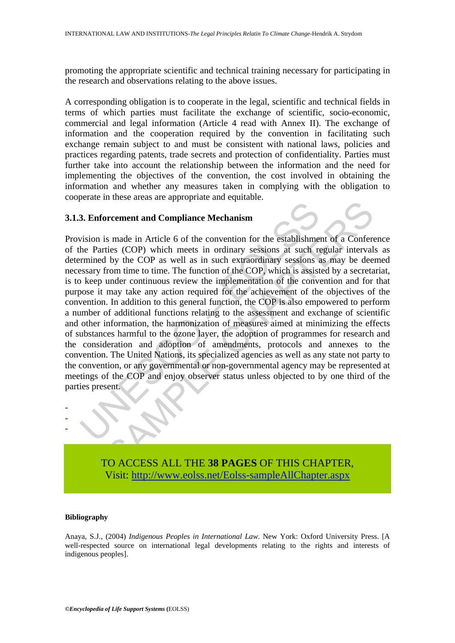promoting the appropriate scientific and technical training necessary for participating in the research and observations relating to the above issues.

A corresponding obligation is to cooperate in the legal, scientific and technical fields in terms of which parties must facilitate the exchange of scientific, socio-economic, commercial and legal information (Article 4 read with Annex II). The exchange of information and the cooperation required by the convention in facilitating such exchange remain subject to and must be consistent with national laws, policies and practices regarding patents, trade secrets and protection of confidentiality. Parties must further take into account the relationship between the information and the need for implementing the objectives of the convention, the cost involved in obtaining the information and whether any measures taken in complying with the obligation to cooperate in these areas are appropriate and equitable.

#### **3.1.3. Enforcement and Compliance Mechanism**

3. Enforcement and Compliance Mechanism<br>
2. Enforcement and Compliance Mechanism<br>
2. Enforcement and Compliance Mechanism<br>
he Parties (COP) which meets in ordinary sessions at such r<br>
termined by the COP as well as in such Fractrich and Compliance Mechanism<br>
So made in Article 6 of the convention for the establishment of a Confer-<br>
ties (COP) which meets in ordinary sessions at such regular interval<br>
by the COP as well as in such extraordina Provision is made in Article 6 of the convention for the establishment of a Conference of the Parties (COP) which meets in ordinary sessions at such regular intervals as determined by the COP as well as in such extraordinary sessions as may be deemed necessary from time to time. The function of the COP, which is assisted by a secretariat, is to keep under continuous review the implementation of the convention and for that purpose it may take any action required for the achievement of the objectives of the convention. In addition to this general function, the COP is also empowered to perform a number of additional functions relating to the assessment and exchange of scientific and other information, the harmonization of measures aimed at minimizing the effects of substances harmful to the ozone layer, the adoption of programmes for research and the consideration and adoption of amendments, protocols and annexes to the convention. The United Nations, its specialized agencies as well as any state not party to the convention, or any governmental or non-governmental agency may be represented at meetings of the COP and enjoy observer status unless objected to by one third of the parties present.



#### **Bibliography**

- - -

Anaya, S.J., (2004) *Indigenous Peoples in International Law*. New York: Oxford University Press. [A well-respected source on international legal developments relating to the rights and interests of indigenous peoples].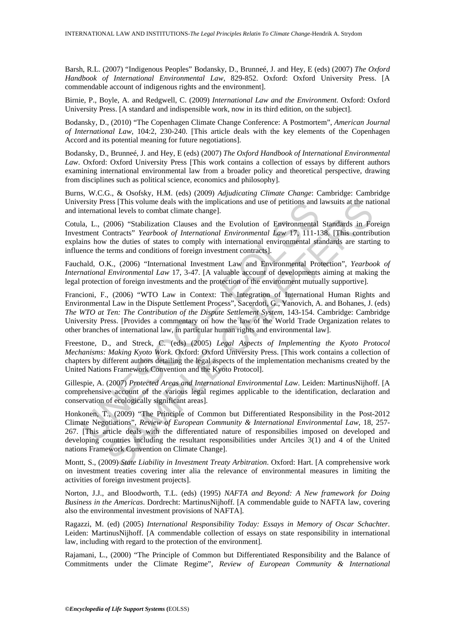Barsh, R.L. (2007) "Indigenous Peoples" Bodansky, D., Brunneé, J. and Hey, E (eds) (2007) *The Oxford Handbook of International Environmental Law*, 829-852. Oxford: Oxford University Press. [A commendable account of indigenous rights and the environment].

Birnie, P., Boyle, A. and Redgwell, C. (2009) *International Law and the Environment*. Oxford: Oxford University Press. [A standard and indispensible work, now in its third edition, on the subject].

Bodansky, D., (2010) "The Copenhagen Climate Change Conference: A Postmortem", *American Journal of International Law*, 104:2, 230-240. [This article deals with the key elements of the Copenhagen Accord and its potential meaning for future negotiations].

Bodansky, D., Brunneé, J. and Hey, E (eds) (2007) *The Oxford Handbook of International Environmental Law*. Oxford: Oxford University Press [This work contains a collection of essays by different authors examining international environmental law from a broader policy and theoretical perspective, drawing from disciplines such as political science, economics and philosophy].

Burns, W.C.G., & Osofsky, H.M. (eds) (2009) *Adjudicating Climate Change*: Cambridge: Cambridge University Press [This volume deals with the implications and use of petitions and lawsuits at the national and international levels to combat climate change].

Cotula, L., (2006) "Stabilization Clauses and the Evolution of Environmental Standards in Foreign Investment Contracts" *Yearbook of International Environmental Law* 17, 111-138. [This contribution explains how the duties of states to comply with international environmental standards are starting to influence the terms and conditions of foreign investment contracts].

Fauchald, O.K., (2006) "International Investment Law and Environmental Protection", *Yearbook of International Environmental Law* 17, 3-47. [A valuable account of developments aiming at making the legal protection of foreign investments and the protection of the environment mutually supportive].

ersity Press [This volume deals with the implications and use of peltitions and literational levels to combata climate change].<br>
I.a, L., (2006) "Stabilization Clauses and the Evolution of Environmental<br>
I.a, L., (2006) "S Francioni, F., (2006) "WTO Law in Context: The Integration of International Human Rights and Environmental Law in the Dispute Settlement Process", Sacerdoti, G., Yanovich, A. and Bohanes, J. (eds) *The WTO at Ten: The Contribution of the Dispute Settlement System*, 143-154. Cambridge: Cambridge University Press. [Provides a commentary on how the law of the World Trade Organization relates to other branches of international law, in particular human rights and environmental law].

Freestone, D., and Streck, C. (eds) (2005) *Legal Aspects of Implementing the Kyoto Protocol Mechanisms: Making Kyoto Work*. Oxford: Oxford University Press. [This work contains a collection of chapters by different authors detailing the legal aspects of the implementation mechanisms created by the United Nations Framework Convention and the Kyoto Protocol].

Gillespie, A. (2007) *Protected Areas and International Environmental Law*. Leiden: MartinusNijhoff. [A comprehensive account of the various legal regimes applicable to the identification, declaration and conservation of ecologically significant areas].

is This volume deals with the implications and use of petitions and lawsuits at the nature and levels to combat climate change].<br>
2006) "Stabilization Clauses and the Evolution of Environmental Standards in Forontracts" *Y* Honkonen, T., (2009) "The Principle of Common but Differentiated Responsibility in the Post-2012 Climate Negotiations", *Review of European Community & International Environmental Law*, 18, 257- 267. [This article deals with the differentiated nature of responsibilies imposed on developed and developing countries including the resultant responsibilities under Artciles 3(1) and 4 of the United nations Framework Convention on Climate Change].

Montt, S., (2009) *State Liability in Investment Treaty Arbitration*. Oxford: Hart. [A comprehensive work on investment treaties covering inter alia the relevance of environmental measures in limiting the activities of foreign investment projects].

Norton, J.J., and Bloodworth, T.L. (eds) (1995) *NAFTA and Beyond: A New framework for Doing Business in the Americas*. Dordrecht: MartinusNijhoff. [A commendable guide to NAFTA law, covering also the environmental investment provisions of NAFTA].

Ragazzi, M. (ed) (2005) *International Responsibility Today: Essays in Memory of Oscar Schachter*. Leiden: MartinusNijhoff. [A commendable collection of essays on state responsibility in international law, including with regard to the protection of the environment].

Rajamani, L., (2000) "The Principle of Common but Differentiated Responsibility and the Balance of Commitments under the Climate Regime", *Review of European Community & International*